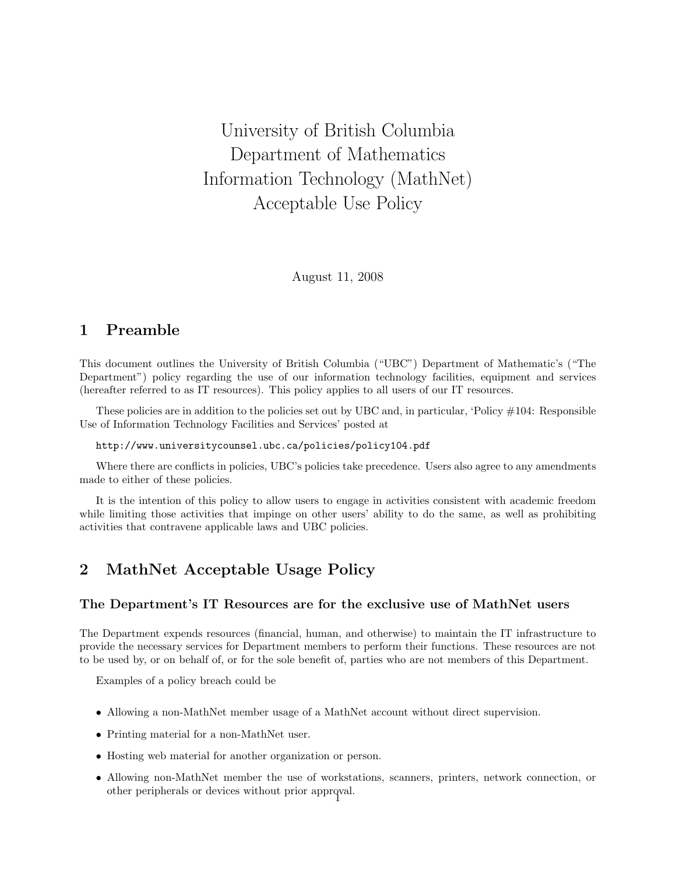University of British Columbia Department of Mathematics Information Technology (MathNet) Acceptable Use Policy

August 11, 2008

## 1 Preamble

This document outlines the University of British Columbia ("UBC") Department of Mathematic's ("The Department") policy regarding the use of our information technology facilities, equipment and services (hereafter referred to as IT resources). This policy applies to all users of our IT resources.

These policies are in addition to the policies set out by UBC and, in particular, 'Policy #104: Responsible Use of Information Technology Facilities and Services' posted at

http://www.universitycounsel.ubc.ca/policies/policy104.pdf

Where there are conflicts in policies, UBC's policies take precedence. Users also agree to any amendments made to either of these policies.

It is the intention of this policy to allow users to engage in activities consistent with academic freedom while limiting those activities that impinge on other users' ability to do the same, as well as prohibiting activities that contravene applicable laws and UBC policies.

# 2 MathNet Acceptable Usage Policy

### The Department's IT Resources are for the exclusive use of MathNet users

The Department expends resources (financial, human, and otherwise) to maintain the IT infrastructure to provide the necessary services for Department members to perform their functions. These resources are not to be used by, or on behalf of, or for the sole benefit of, parties who are not members of this Department.

Examples of a policy breach could be

- Allowing a non-MathNet member usage of a MathNet account without direct supervision.
- Printing material for a non-MathNet user.
- Hosting web material for another organization or person.
- Allowing non-MathNet member the use of workstations, scanners, printers, network connection, or other peripherals or devices without prior approval. <sup>1</sup>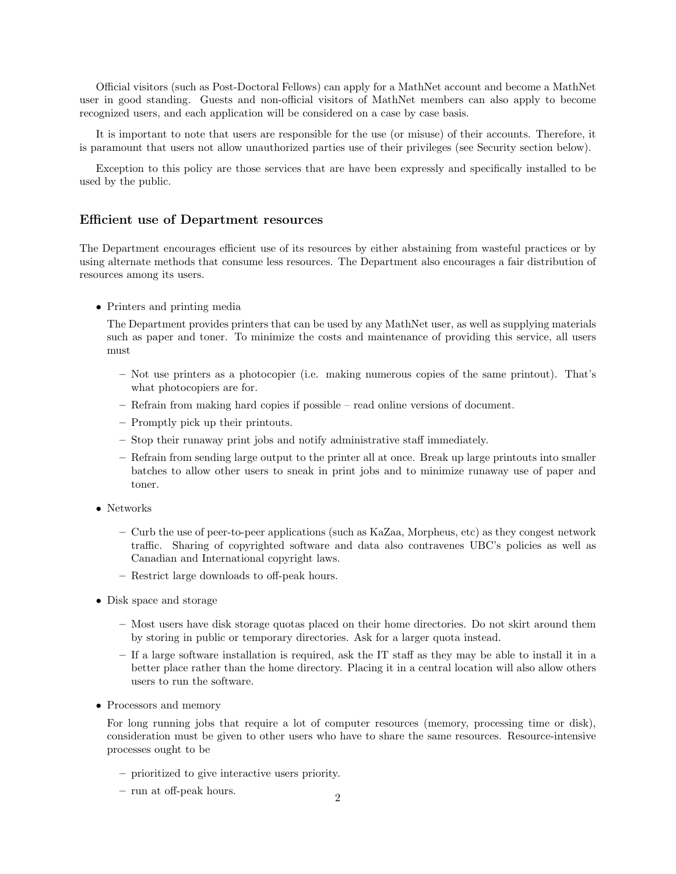Official visitors (such as Post-Doctoral Fellows) can apply for a MathNet account and become a MathNet user in good standing. Guests and non-official visitors of MathNet members can also apply to become recognized users, and each application will be considered on a case by case basis.

It is important to note that users are responsible for the use (or misuse) of their accounts. Therefore, it is paramount that users not allow unauthorized parties use of their privileges (see Security section below).

Exception to this policy are those services that are have been expressly and specifically installed to be used by the public.

#### Efficient use of Department resources

The Department encourages efficient use of its resources by either abstaining from wasteful practices or by using alternate methods that consume less resources. The Department also encourages a fair distribution of resources among its users.

• Printers and printing media

The Department provides printers that can be used by any MathNet user, as well as supplying materials such as paper and toner. To minimize the costs and maintenance of providing this service, all users must

- Not use printers as a photocopier (i.e. making numerous copies of the same printout). That's what photocopiers are for.
- Refrain from making hard copies if possible read online versions of document.
- Promptly pick up their printouts.
- Stop their runaway print jobs and notify administrative staff immediately.
- Refrain from sending large output to the printer all at once. Break up large printouts into smaller batches to allow other users to sneak in print jobs and to minimize runaway use of paper and toner.
- Networks
	- Curb the use of peer-to-peer applications (such as KaZaa, Morpheus, etc) as they congest network traffic. Sharing of copyrighted software and data also contravenes UBC's policies as well as Canadian and International copyright laws.
	- Restrict large downloads to off-peak hours.
- Disk space and storage
	- Most users have disk storage quotas placed on their home directories. Do not skirt around them by storing in public or temporary directories. Ask for a larger quota instead.
	- If a large software installation is required, ask the IT staff as they may be able to install it in a better place rather than the home directory. Placing it in a central location will also allow others users to run the software.
- Processors and memory

For long running jobs that require a lot of computer resources (memory, processing time or disk), consideration must be given to other users who have to share the same resources. Resource-intensive processes ought to be

- prioritized to give interactive users priority.
- run at off-peak hours. <sup>2</sup>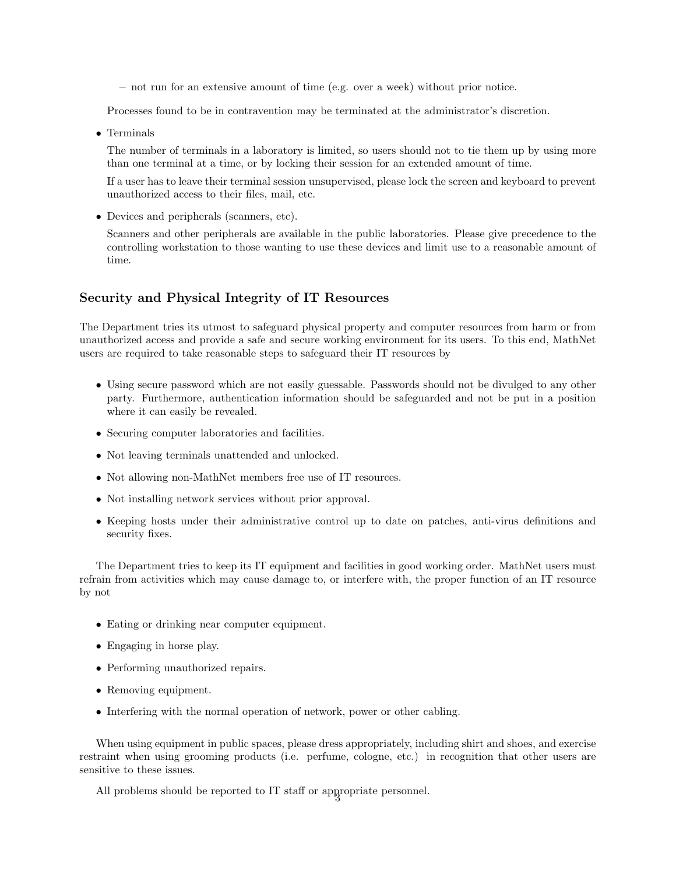– not run for an extensive amount of time (e.g. over a week) without prior notice.

Processes found to be in contravention may be terminated at the administrator's discretion.

• Terminals

The number of terminals in a laboratory is limited, so users should not to tie them up by using more than one terminal at a time, or by locking their session for an extended amount of time.

If a user has to leave their terminal session unsupervised, please lock the screen and keyboard to prevent unauthorized access to their files, mail, etc.

• Devices and peripherals (scanners, etc).

Scanners and other peripherals are available in the public laboratories. Please give precedence to the controlling workstation to those wanting to use these devices and limit use to a reasonable amount of time.

## Security and Physical Integrity of IT Resources

The Department tries its utmost to safeguard physical property and computer resources from harm or from unauthorized access and provide a safe and secure working environment for its users. To this end, MathNet users are required to take reasonable steps to safeguard their IT resources by

- Using secure password which are not easily guessable. Passwords should not be divulged to any other party. Furthermore, authentication information should be safeguarded and not be put in a position where it can easily be revealed.
- Securing computer laboratories and facilities.
- Not leaving terminals unattended and unlocked.
- Not allowing non-MathNet members free use of IT resources.
- Not installing network services without prior approval.
- Keeping hosts under their administrative control up to date on patches, anti-virus definitions and security fixes.

The Department tries to keep its IT equipment and facilities in good working order. MathNet users must refrain from activities which may cause damage to, or interfere with, the proper function of an IT resource by not

- Eating or drinking near computer equipment.
- Engaging in horse play.
- Performing unauthorized repairs.
- Removing equipment.
- Interfering with the normal operation of network, power or other cabling.

When using equipment in public spaces, please dress appropriately, including shirt and shoes, and exercise restraint when using grooming products (i.e. perfume, cologne, etc.) in recognition that other users are sensitive to these issues.

All problems should be reported to IT staff or appropriate personnel.